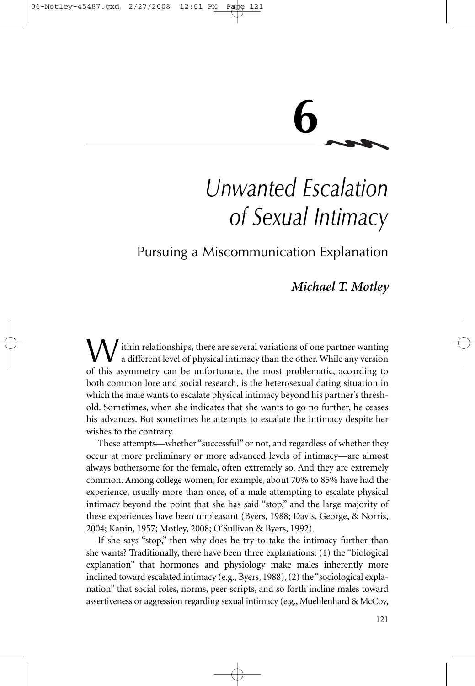# **6**

## *Unwanted Escalation of Sexual Intimacy*

### Pursuing a Miscommunication Explanation

### *Michael T. Motley*

W ithin relationships, there are several variations of one partner wanting<br>a different level of physical intimacy than the other. While any version<br>of this examinative are be unfortunate the meet problematic exacting to of this asymmetry can be unfortunate, the most problematic, according to both common lore and social research, is the heterosexual dating situation in which the male wants to escalate physical intimacy beyond his partner's threshold. Sometimes, when she indicates that she wants to go no further, he ceases his advances. But sometimes he attempts to escalate the intimacy despite her wishes to the contrary.

These attempts—whether "successful" or not, and regardless of whether they occur at more preliminary or more advanced levels of intimacy—are almost always bothersome for the female, often extremely so. And they are extremely common. Among college women, for example, about 70% to 85% have had the experience, usually more than once, of a male attempting to escalate physical intimacy beyond the point that she has said "stop," and the large majority of these experiences have been unpleasant (Byers, 1988; Davis, George, & Norris, 2004; Kanin, 1957; Motley, 2008; O'Sullivan & Byers, 1992).

If she says "stop," then why does he try to take the intimacy further than she wants? Traditionally, there have been three explanations: (1) the "biological explanation" that hormones and physiology make males inherently more inclined toward escalated intimacy (e.g., Byers, 1988), (2) the "sociological explanation" that social roles, norms, peer scripts, and so forth incline males toward assertiveness or aggression regarding sexual intimacy (e.g., Muehlenhard & McCoy,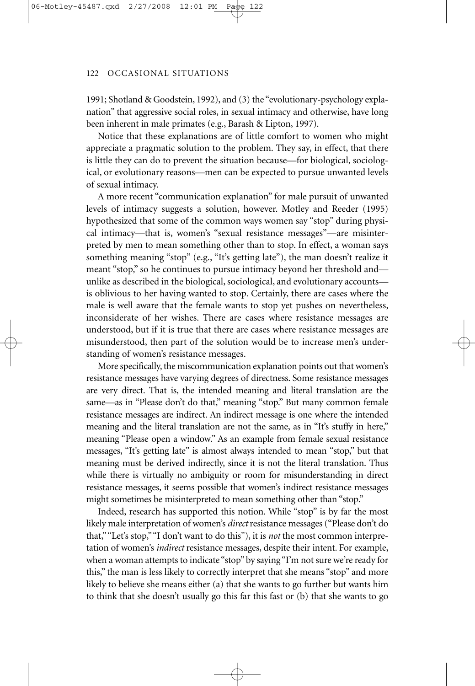1991; Shotland & Goodstein, 1992), and (3) the "evolutionary-psychology explanation" that aggressive social roles, in sexual intimacy and otherwise, have long been inherent in male primates (e.g., Barash & Lipton, 1997).

Notice that these explanations are of little comfort to women who might appreciate a pragmatic solution to the problem. They say, in effect, that there is little they can do to prevent the situation because—for biological, sociological, or evolutionary reasons—men can be expected to pursue unwanted levels of sexual intimacy.

A more recent "communication explanation" for male pursuit of unwanted levels of intimacy suggests a solution, however. Motley and Reeder (1995) hypothesized that some of the common ways women say "stop" during physical intimacy—that is, women's "sexual resistance messages"—are misinterpreted by men to mean something other than to stop. In effect, a woman says something meaning "stop" (e.g., "It's getting late"), the man doesn't realize it meant "stop," so he continues to pursue intimacy beyond her threshold and unlike as described in the biological, sociological, and evolutionary accounts is oblivious to her having wanted to stop. Certainly, there are cases where the male is well aware that the female wants to stop yet pushes on nevertheless, inconsiderate of her wishes. There are cases where resistance messages are understood, but if it is true that there are cases where resistance messages are misunderstood, then part of the solution would be to increase men's understanding of women's resistance messages.

More specifically, the miscommunication explanation points out that women's resistance messages have varying degrees of directness. Some resistance messages are very direct. That is, the intended meaning and literal translation are the same—as in "Please don't do that," meaning "stop." But many common female resistance messages are indirect. An indirect message is one where the intended meaning and the literal translation are not the same, as in "It's stuffy in here," meaning "Please open a window." As an example from female sexual resistance messages, "It's getting late" is almost always intended to mean "stop," but that meaning must be derived indirectly, since it is not the literal translation. Thus while there is virtually no ambiguity or room for misunderstanding in direct resistance messages, it seems possible that women's indirect resistance messages might sometimes be misinterpreted to mean something other than "stop."

Indeed, research has supported this notion. While "stop" is by far the most likely male interpretation of women's *direct* resistance messages ("Please don't do that,""Let's stop,""I don't want to do this"), it is *not* the most common interpretation of women's *indirect* resistance messages, despite their intent. For example, when a woman attempts to indicate "stop" by saying "I'm not sure we're ready for this," the man is less likely to correctly interpret that she means "stop" and more likely to believe she means either (a) that she wants to go further but wants him to think that she doesn't usually go this far this fast or (b) that she wants to go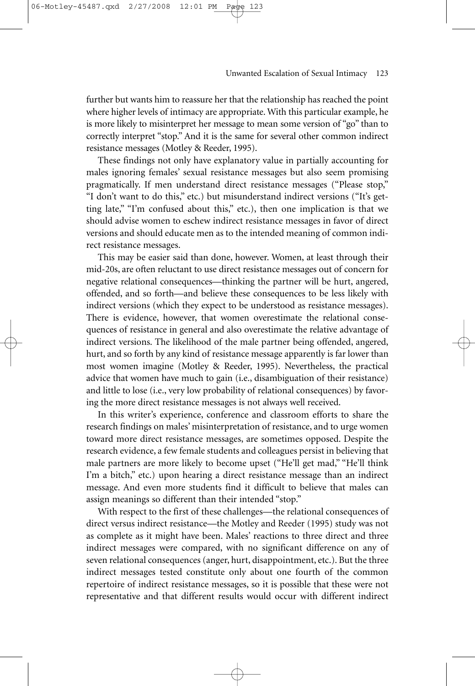further but wants him to reassure her that the relationship has reached the point where higher levels of intimacy are appropriate. With this particular example, he is more likely to misinterpret her message to mean some version of "go" than to correctly interpret "stop." And it is the same for several other common indirect resistance messages (Motley & Reeder, 1995).

2/27/2008

These findings not only have explanatory value in partially accounting for males ignoring females' sexual resistance messages but also seem promising pragmatically. If men understand direct resistance messages ("Please stop," "I don't want to do this," etc.) but misunderstand indirect versions ("It's getting late," "I'm confused about this," etc.), then one implication is that we should advise women to eschew indirect resistance messages in favor of direct versions and should educate men as to the intended meaning of common indirect resistance messages.

This may be easier said than done, however. Women, at least through their mid-20s, are often reluctant to use direct resistance messages out of concern for negative relational consequences—thinking the partner will be hurt, angered, offended, and so forth—and believe these consequences to be less likely with indirect versions (which they expect to be understood as resistance messages). There is evidence, however, that women overestimate the relational consequences of resistance in general and also overestimate the relative advantage of indirect versions. The likelihood of the male partner being offended, angered, hurt, and so forth by any kind of resistance message apparently is far lower than most women imagine (Motley & Reeder, 1995). Nevertheless, the practical advice that women have much to gain (i.e., disambiguation of their resistance) and little to lose (i.e., very low probability of relational consequences) by favoring the more direct resistance messages is not always well received.

In this writer's experience, conference and classroom efforts to share the research findings on males' misinterpretation of resistance, and to urge women toward more direct resistance messages, are sometimes opposed. Despite the research evidence, a few female students and colleagues persist in believing that male partners are more likely to become upset ("He'll get mad," "He'll think I'm a bitch," etc.) upon hearing a direct resistance message than an indirect message. And even more students find it difficult to believe that males can assign meanings so different than their intended "stop."

With respect to the first of these challenges—the relational consequences of direct versus indirect resistance—the Motley and Reeder (1995) study was not as complete as it might have been. Males' reactions to three direct and three indirect messages were compared, with no significant difference on any of seven relational consequences (anger, hurt, disappointment, etc.). But the three indirect messages tested constitute only about one fourth of the common repertoire of indirect resistance messages, so it is possible that these were not representative and that different results would occur with different indirect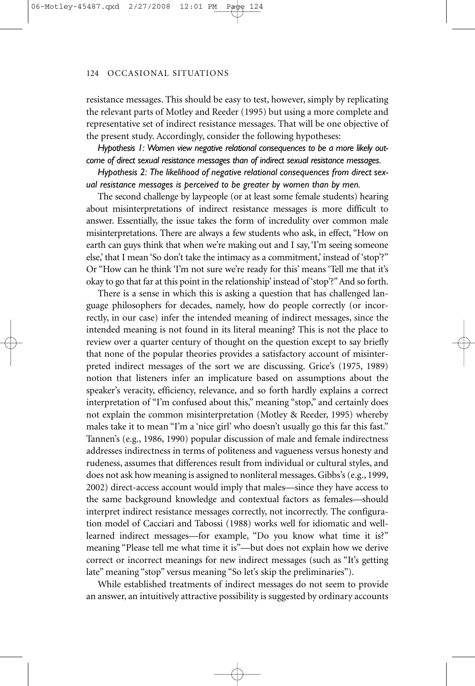resistance messages. This should be easy to test, however, simply by replicating the relevant parts of Motley and Reeder (1995) but using a more complete and representative set of indirect resistance messages. That will be one objective of the present study. Accordingly, consider the following hypotheses:

*Hypothesis 1: Women view negative relational consequences to be a more likely outcome of direct sexual resistance messages than of indirect sexual resistance messages.*

*Hypothesis 2: The likelihood of negative relational consequences from direct sexual resistance messages is perceived to be greater by women than by men.*

The second challenge by laypeople (or at least some female students) hearing about misinterpretations of indirect resistance messages is more difficult to answer. Essentially, the issue takes the form of incredulity over common male misinterpretations. There are always a few students who ask, in effect, "How on earth can guys think that when we're making out and I say, 'I'm seeing someone else,' that I mean 'So don't take the intimacy as a commitment,' instead of 'stop'?" Or "How can he think 'I'm not sure we're ready for this' means 'Tell me that it's okay to go that far at this point in the relationship' instead of 'stop'?"And so forth.

There is a sense in which this is asking a question that has challenged language philosophers for decades, namely, how do people correctly (or incorrectly, in our case) infer the intended meaning of indirect messages, since the intended meaning is not found in its literal meaning? This is not the place to review over a quarter century of thought on the question except to say briefly that none of the popular theories provides a satisfactory account of misinterpreted indirect messages of the sort we are discussing. Grice's (1975, 1989) notion that listeners infer an implicature based on assumptions about the speaker's veracity, efficiency, relevance, and so forth hardly explains a correct interpretation of "I'm confused about this," meaning "stop," and certainly does not explain the common misinterpretation (Motley & Reeder, 1995) whereby males take it to mean "I'm a 'nice girl' who doesn't usually go this far this fast." Tannen's (e.g., 1986, 1990) popular discussion of male and female indirectness addresses indirectness in terms of politeness and vagueness versus honesty and rudeness, assumes that differences result from individual or cultural styles, and does not ask how meaning is assigned to nonliteral messages. Gibbs's (e.g., 1999, 2002) direct-access account would imply that males—since they have access to the same background knowledge and contextual factors as females—should interpret indirect resistance messages correctly, not incorrectly. The configuration model of Cacciari and Tabossi (1988) works well for idiomatic and welllearned indirect messages—for example, "Do you know what time it is?" meaning "Please tell me what time it is"—but does not explain how we derive correct or incorrect meanings for new indirect messages (such as "It's getting late" meaning "stop" versus meaning "So let's skip the preliminaries").

While established treatments of indirect messages do not seem to provide an answer, an intuitively attractive possibility is suggested by ordinary accounts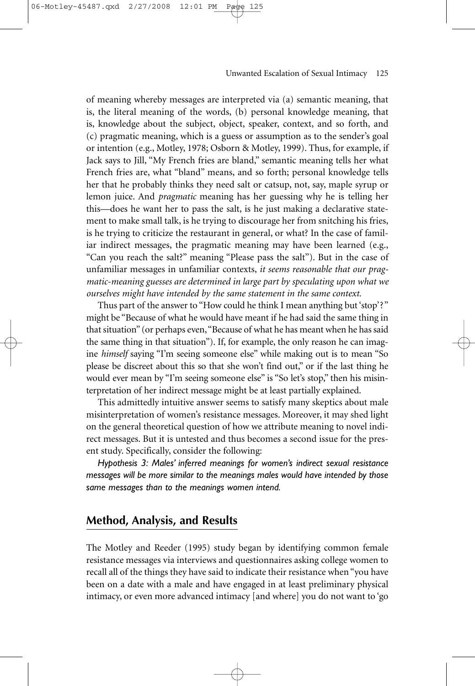of meaning whereby messages are interpreted via (a) semantic meaning, that is, the literal meaning of the words, (b) personal knowledge meaning, that is, knowledge about the subject, object, speaker, context, and so forth, and (c) pragmatic meaning, which is a guess or assumption as to the sender's goal or intention (e.g., Motley, 1978; Osborn & Motley, 1999). Thus, for example, if Jack says to Jill, "My French fries are bland," semantic meaning tells her what French fries are, what "bland" means, and so forth; personal knowledge tells her that he probably thinks they need salt or catsup, not, say, maple syrup or lemon juice. And *pragmatic* meaning has her guessing why he is telling her this—does he want her to pass the salt, is he just making a declarative statement to make small talk, is he trying to discourage her from snitching his fries, is he trying to criticize the restaurant in general, or what? In the case of familiar indirect messages, the pragmatic meaning may have been learned (e.g., "Can you reach the salt?" meaning "Please pass the salt"). But in the case of unfamiliar messages in unfamiliar contexts, *it seems reasonable that our pragmatic-meaning guesses are determined in large part by speculating upon what we ourselves might have intended by the same statement in the same context.*

Thus part of the answer to "How could he think I mean anything but 'stop'?" might be "Because of what he would have meant if he had said the same thing in that situation" (or perhaps even,"Because of what he has meant when he has said the same thing in that situation"). If, for example, the only reason he can imagine *himself* saying "I'm seeing someone else" while making out is to mean "So please be discreet about this so that she won't find out," or if the last thing he would ever mean by "I'm seeing someone else" is "So let's stop," then his misinterpretation of her indirect message might be at least partially explained.

This admittedly intuitive answer seems to satisfy many skeptics about male misinterpretation of women's resistance messages. Moreover, it may shed light on the general theoretical question of how we attribute meaning to novel indirect messages. But it is untested and thus becomes a second issue for the present study. Specifically, consider the following:

*Hypothesis 3: Males' inferred meanings for women's indirect sexual resistance messages will be more similar to the meanings males would have intended by those same messages than to the meanings women intend.*

### **Method, Analysis, and Results**

The Motley and Reeder (1995) study began by identifying common female resistance messages via interviews and questionnaires asking college women to recall all of the things they have said to indicate their resistance when "you have been on a date with a male and have engaged in at least preliminary physical intimacy, or even more advanced intimacy [and where] you do not want to 'go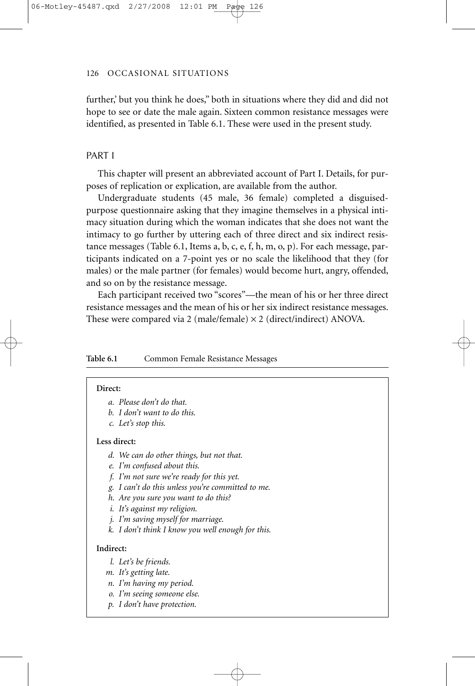further,' but you think he does," both in situations where they did and did not hope to see or date the male again. Sixteen common resistance messages were identified, as presented in Table 6.1. These were used in the present study.

### PART I

This chapter will present an abbreviated account of Part I. Details, for purposes of replication or explication, are available from the author.

Undergraduate students (45 male, 36 female) completed a disguisedpurpose questionnaire asking that they imagine themselves in a physical intimacy situation during which the woman indicates that she does not want the intimacy to go further by uttering each of three direct and six indirect resistance messages (Table 6.1, Items a, b, c, e, f, h, m, o, p). For each message, participants indicated on a 7-point yes or no scale the likelihood that they (for males) or the male partner (for females) would become hurt, angry, offended, and so on by the resistance message.

Each participant received two "scores"—the mean of his or her three direct resistance messages and the mean of his or her six indirect resistance messages. These were compared via 2 (male/female)  $\times$  2 (direct/indirect) ANOVA.

### Table 6.1 Common Female Resistance Messages

#### **Direct:**

- *a. Please don't do that.*
- *b. I don't want to do this.*
- *c. Let's stop this.*

### **Less direct:**

- *d. We can do other things, but not that.*
- *e. I'm confused about this.*
- *f. I'm not sure we're ready for this yet.*
- *g. I can't do this unless you're committed to me.*
- *h. Are you sure you want to do this?*
- *i. It's against my religion.*
- *j. I'm saving myself for marriage.*
- *k. I don't think I know you well enough for this.*

### **Indirect:**

- *l. Let's be friends.*
- *m. It's getting late.*
- *n. I'm having my period.*
- *o. I'm seeing someone else.*
- *p. I don't have protection.*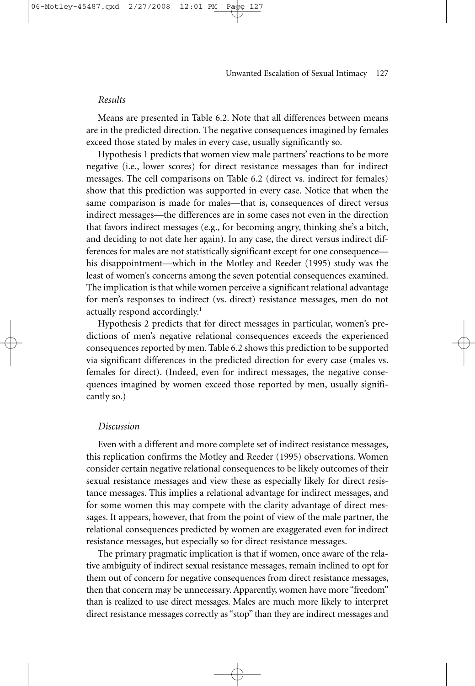Means are presented in Table 6.2. Note that all differences between means are in the predicted direction. The negative consequences imagined by females exceed those stated by males in every case, usually significantly so.

Hypothesis 1 predicts that women view male partners' reactions to be more negative (i.e., lower scores) for direct resistance messages than for indirect messages. The cell comparisons on Table 6.2 (direct vs. indirect for females) show that this prediction was supported in every case. Notice that when the same comparison is made for males—that is, consequences of direct versus indirect messages—the differences are in some cases not even in the direction that favors indirect messages (e.g., for becoming angry, thinking she's a bitch, and deciding to not date her again). In any case, the direct versus indirect differences for males are not statistically significant except for one consequence his disappointment—which in the Motley and Reeder (1995) study was the least of women's concerns among the seven potential consequences examined. The implication is that while women perceive a significant relational advantage for men's responses to indirect (vs. direct) resistance messages, men do not actually respond accordingly.<sup>1</sup>

Hypothesis 2 predicts that for direct messages in particular, women's predictions of men's negative relational consequences exceeds the experienced consequences reported by men. Table 6.2 shows this prediction to be supported via significant differences in the predicted direction for every case (males vs. females for direct). (Indeed, even for indirect messages, the negative consequences imagined by women exceed those reported by men, usually significantly so.)

### *Discussion*

Even with a different and more complete set of indirect resistance messages, this replication confirms the Motley and Reeder (1995) observations. Women consider certain negative relational consequences to be likely outcomes of their sexual resistance messages and view these as especially likely for direct resistance messages. This implies a relational advantage for indirect messages, and for some women this may compete with the clarity advantage of direct messages. It appears, however, that from the point of view of the male partner, the relational consequences predicted by women are exaggerated even for indirect resistance messages, but especially so for direct resistance messages.

The primary pragmatic implication is that if women, once aware of the relative ambiguity of indirect sexual resistance messages, remain inclined to opt for them out of concern for negative consequences from direct resistance messages, then that concern may be unnecessary. Apparently, women have more "freedom" than is realized to use direct messages. Males are much more likely to interpret direct resistance messages correctly as "stop" than they are indirect messages and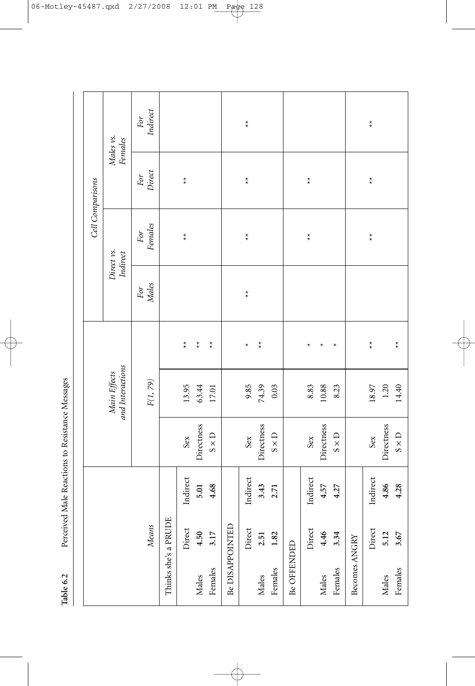Perceived Male Reactions to Resistance Messages **Table 6.2** Perceived Male Reactions to Resistance Messages Table 6.2

Indirect *Means F(1, 79) Males Females Direct Indirect* For *For For For For*  $_{\star}^{\star}$  $\underset{\star}{\star}$ Direct Indirect Sex 9.85 \* \*\* \*\* \*\* \*\* Direct Indirect Sex 18.97 \*\* \*\* \*\* \*\* Males vs.<br>Females *Main Effects Direct vs. Males vs. and Interactions Indirect Females* For<br>Direct  $\stackrel{\star}{\star}$  $_{\star}^{\star}$  $\stackrel{\star}{\star}$  $\underset{\star}{\star}$ Cell Comparisons *Cell Comparisons* Direct Indirect Sex 13.95 \*\* \*\* \*\* Direct Indirect Sex 8.83 \* \*\* \*\* Females  $\emph{For}$  $\underset{\star}{\star}$  $_{\star}^{\star}$  $\stackrel{\star}{\star}$  $\underset{\star}{\star}$ Direct vs. Indirect For<br>Males  $_{\star}^{\star}$  $\underset{\star}{\star}$  $\underset{\star}{\star}$  $\underset{\star}{\star}$  $\underset{\star}{\star}$  $\underset{\star}{\star}$  $\stackrel{\star}{\star}$  $\star$  $\star$ Males **4.50 5.01** Directness 63.44 \*\* Females **3.17 4.68** S × D 17.01 \*\* Males **2.51 3.43** Directness 74.39 \*\*  $\star$ Females **3.67 4.28** S × D 14.40 \*\* Males **4.46 4.57** Directness 10.88 \* Females **3.34 4.27** S × D 8.23 \* and Interactions Main Effects  $F(1, 79)$ 10.88 13.95 63.44 17.01 9.85 74.39  $0.03$ 8.83 8.23 18.97 1.20 14.40 Males **5.12 4.86** Directness 1.20 Females **1.82 2.71** S × D 0.03 Directness Directness Directness Directness  $S \times D$  $S \times D$  $S \times D$  $S \times D$ Sex Sex Sex Sex Indirect Indirect Indirect Indirect 3.43 4.57 4.86 4.28 5.01 4.68 2.71 4.27 Thinks she's a PRUDE Thinks she's a PRUDE **Means** Be DISAPPOINTED Direct Be DISAPPOINTED Direct Direct Direct 4.50 3.17 2.51 1.82 4.46 3.34 5.12 3.67 Becomes ANGRY Becomes ANGRY Be OFFENDED Be OFFENDED Females Females Females Females Males Males Males Males

 $\overline{\varphi}$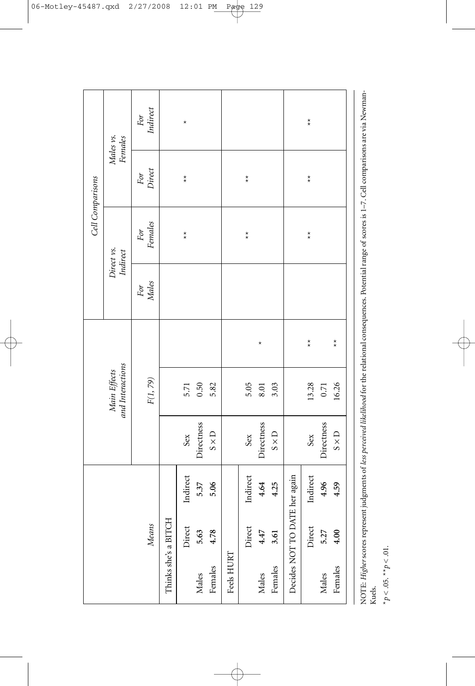|                      |                               |          |              |                                  |                           |              | Cell Comparisons          |                           |                           |
|----------------------|-------------------------------|----------|--------------|----------------------------------|---------------------------|--------------|---------------------------|---------------------------|---------------------------|
|                      |                               |          |              | and Interactions<br>Main Effects |                           |              | Direct vs.<br>Indirect    |                           | Males vs.<br>Females      |
|                      | Means                         |          |              | $\mathcal{F}(1,79)$              |                           | For<br>Males | For<br>Females            | For<br>Direct             | For<br>Indirect           |
| Thinks she's a BITCH |                               |          |              |                                  |                           |              |                           |                           |                           |
|                      | Direct                        | Indirect | Sex          | 5.71                             |                           |              | $\stackrel{\star}{\star}$ | $\underset{\star}{\star}$ | $^{\star}$                |
| Males                | 5.63                          | 5.37     | Directness   | 0.50                             |                           |              |                           |                           |                           |
| Females              | 4.78                          | 5.06     | $S \times D$ | 5.82                             |                           |              |                           |                           |                           |
| Feels HURT           |                               |          |              |                                  |                           |              |                           |                           |                           |
|                      | Direct                        | Indirect | Sex          | 5.05                             |                           |              | $\overset{\star}{\star}$  | $\overset{\star}{\star}$  |                           |
| Males                | 4.47                          | 4.64     | Directness   | 8.01                             | $\star$                   |              |                           |                           |                           |
| Females              | 3.61                          | 4.25     | $S \times D$ | 3.03                             |                           |              |                           |                           |                           |
|                      | Decides NOT TO DATE her again |          |              |                                  |                           |              |                           |                           |                           |
|                      | Direct                        | Indirect | Sex          | 13.28                            | $\underset{\star}{\star}$ |              | $\underset{\star}{\star}$ | $\underset{\star}{\star}$ | $\underset{\star}{\star}$ |
| Males                | 5.27                          | 4.96     | Directness   | 0.71                             |                           |              |                           |                           |                           |
| Females              | 4.00                          | 4.59     | $S \times D$ | 16.26                            | $\overset{\star}{\star}$  |              |                           |                           |                           |
|                      |                               |          |              |                                  |                           |              |                           |                           |                           |

 $\color{red} \bigoplus$ 

NOTE: *Higher* scores represent judgments of *less perceived likelihood* for the relational consequences. Potential range of scores is 1–7. Cell comparisons are via Newman-NOTE: Higher scores represent judgments of less perceived likelihood for the relational consequences. Potential range of scores is 1-7. Cell comparisons are via Newman-<br>Kuels.

 $*_P<.05.$   $^{**}p<.01.$ \**p* < .05. \*\**p* < .01.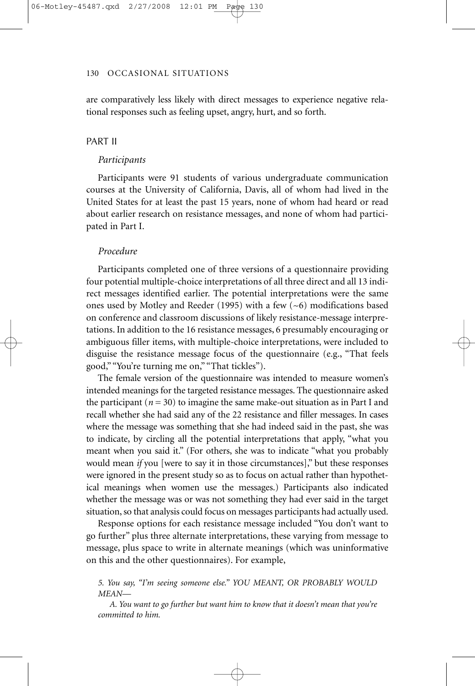are comparatively less likely with direct messages to experience negative relational responses such as feeling upset, angry, hurt, and so forth.

### PART II

### *Participants*

Participants were 91 students of various undergraduate communication courses at the University of California, Davis, all of whom had lived in the United States for at least the past 15 years, none of whom had heard or read about earlier research on resistance messages, and none of whom had participated in Part I.

### *Procedure*

Participants completed one of three versions of a questionnaire providing four potential multiple-choice interpretations of all three direct and all 13 indirect messages identified earlier. The potential interpretations were the same ones used by Motley and Reeder (1995) with a few  $(-6)$  modifications based on conference and classroom discussions of likely resistance-message interpretations. In addition to the 16 resistance messages, 6 presumably encouraging or ambiguous filler items, with multiple-choice interpretations, were included to disguise the resistance message focus of the questionnaire (e.g., "That feels good," "You're turning me on," "That tickles").

The female version of the questionnaire was intended to measure women's intended meanings for the targeted resistance messages. The questionnaire asked the participant  $(n = 30)$  to imagine the same make-out situation as in Part I and recall whether she had said any of the 22 resistance and filler messages. In cases where the message was something that she had indeed said in the past, she was to indicate, by circling all the potential interpretations that apply, "what you meant when you said it." (For others, she was to indicate "what you probably would mean *if* you [were to say it in those circumstances]," but these responses were ignored in the present study so as to focus on actual rather than hypothetical meanings when women use the messages.) Participants also indicated whether the message was or was not something they had ever said in the target situation, so that analysis could focus on messages participants had actually used.

Response options for each resistance message included "You don't want to go further" plus three alternate interpretations, these varying from message to message, plus space to write in alternate meanings (which was uninformative on this and the other questionnaires). For example,

*5. You say, "I'm seeing someone else." YOU MEANT, OR PROBABLY WOULD MEAN—*

*A. You want to go further but want him to know that it doesn't mean that you're committed to him.*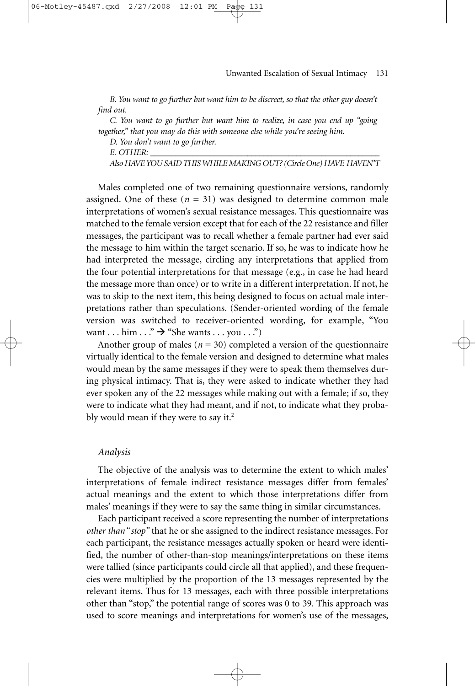*B. You want to go further but want him to be discreet, so that the other guy doesn't find out.*

*C. You want to go further but want him to realize, in case you end up "going together," that you may do this with someone else while you're seeing him.*

*D. You don't want to go further.*

*E. OTHER: \_\_\_\_\_\_\_\_\_\_\_\_\_\_\_\_\_\_\_\_\_\_\_\_\_\_\_\_\_\_\_\_\_\_\_\_\_\_\_\_\_\_\_\_\_\_\_\_\_\_\_\_\_\_\_*

06-Motley-45487.qxd 2/27/2008

*Also HAVE YOU SAID THIS WHILE MAKING OUT? (Circle One) HAVE HAVEN'T*

Males completed one of two remaining questionnaire versions, randomly assigned. One of these  $(n = 31)$  was designed to determine common male interpretations of women's sexual resistance messages. This questionnaire was matched to the female version except that for each of the 22 resistance and filler messages, the participant was to recall whether a female partner had ever said the message to him within the target scenario. If so, he was to indicate how he had interpreted the message, circling any interpretations that applied from the four potential interpretations for that message (e.g., in case he had heard the message more than once) or to write in a different interpretation. If not, he was to skip to the next item, this being designed to focus on actual male interpretations rather than speculations. (Sender-oriented wording of the female version was switched to receiver-oriented wording, for example, "You want . . . him  $\ldots$ "  $\rightarrow$  "She wants . . . you . . .")

Another group of males ( $n = 30$ ) completed a version of the questionnaire virtually identical to the female version and designed to determine what males would mean by the same messages if they were to speak them themselves during physical intimacy. That is, they were asked to indicate whether they had ever spoken any of the 22 messages while making out with a female; if so, they were to indicate what they had meant, and if not, to indicate what they probably would mean if they were to say it.<sup>2</sup>

### *Analysis*

The objective of the analysis was to determine the extent to which males' interpretations of female indirect resistance messages differ from females' actual meanings and the extent to which those interpretations differ from males' meanings if they were to say the same thing in similar circumstances.

Each participant received a score representing the number of interpretations *other than* "*stop"* that he or she assigned to the indirect resistance messages. For each participant, the resistance messages actually spoken or heard were identified, the number of other-than-stop meanings/interpretations on these items were tallied (since participants could circle all that applied), and these frequencies were multiplied by the proportion of the 13 messages represented by the relevant items. Thus for 13 messages, each with three possible interpretations other than "stop," the potential range of scores was 0 to 39. This approach was used to score meanings and interpretations for women's use of the messages,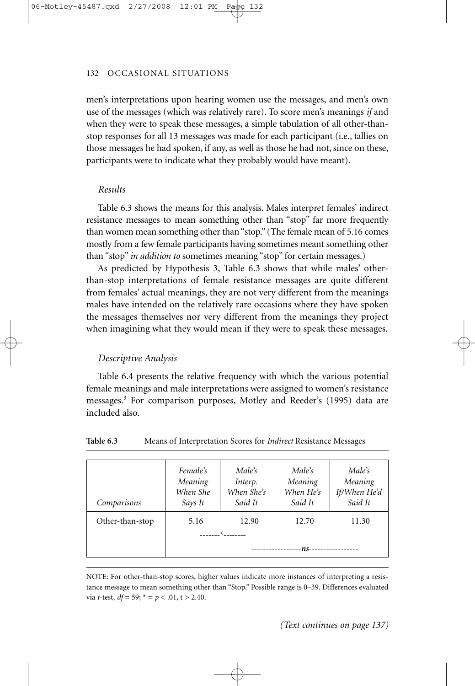men's interpretations upon hearing women use the messages, and men's own use of the messages (which was relatively rare). To score men's meanings *if* and when they were to speak these messages, a simple tabulation of all other-thanstop responses for all 13 messages was made for each participant (i.e., tallies on those messages he had spoken, if any, as well as those he had not, since on these, participants were to indicate what they probably would have meant).

### *Results*

Table 6.3 shows the means for this analysis. Males interpret females' indirect resistance messages to mean something other than "stop" far more frequently than women mean something other than "stop." (The female mean of 5.16 comes mostly from a few female participants having sometimes meant something other than "stop" *in addition to* sometimes meaning "stop" for certain messages.)

As predicted by Hypothesis 3, Table 6.3 shows that while males' otherthan-stop interpretations of female resistance messages are quite different from females' actual meanings, they are not very different from the meanings males have intended on the relatively rare occasions where they have spoken the messages themselves nor very different from the meanings they project when imagining what they would mean if they were to speak these messages.

### *Descriptive Analysis*

Table 6.4 presents the relative frequency with which the various potential female meanings and male interpretations were assigned to women's resistance messages.3 For comparison purposes, Motley and Reeder's (1995) data are included also.

| Comparisons     | Female's<br>Meaning<br>When She<br>Says It  | Male's<br>Interp.<br>When She's<br>Said It | Male's<br>Meaning<br>When He's<br>Said It | Male's<br>Meaning<br>If/When He'd<br>Said It |
|-----------------|---------------------------------------------|--------------------------------------------|-------------------------------------------|----------------------------------------------|
| Other-than-stop | 5.16                                        | 12.90                                      | 12.70                                     | 11.30                                        |
|                 | $\star$ $\sim$                              |                                            |                                           |                                              |
|                 | -ns--<br>---------------<br>--------------- |                                            |                                           |                                              |

**Table 6.3** Means of Interpretation Scores for *Indirect* Resistance Messages

NOTE: For other-than-stop scores, higher values indicate more instances of interpreting a resistance message to mean something other than "Stop." Possible range is 0–39. Differences evaluated via *t*-test,  $df = 59$ ;  $* = p < .01$ , t > 2.40.

*(Text continues on page 137)*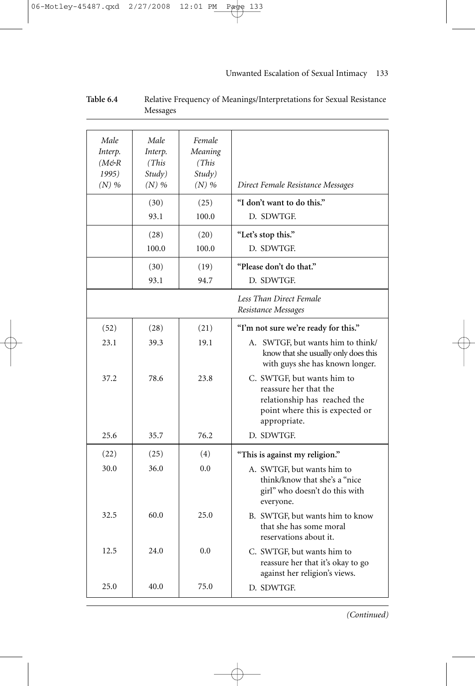### 06-Motley-45487.qxd 2/27/2008 12:01 PM Page 133

### Unwanted Escalation of Sexual Intimacy—133

| Male<br>Interp.<br>$(M \n\mathfrak{S} R)$<br>1995)<br>$(N)$ % | Male<br>Interp.<br>(This)<br>Study)<br>$(N)$ % | Female<br>Meaning<br>(This)<br>Study)<br>$(N)$ % | Direct Female Resistance Messages                                                                                                      |
|---------------------------------------------------------------|------------------------------------------------|--------------------------------------------------|----------------------------------------------------------------------------------------------------------------------------------------|
|                                                               | (30)<br>93.1                                   | (25)<br>100.0                                    | "I don't want to do this."<br>D. SDWTGE                                                                                                |
|                                                               |                                                |                                                  |                                                                                                                                        |
|                                                               | (28)                                           | (20)                                             | "Let's stop this."                                                                                                                     |
|                                                               | 100.0                                          | 100.0                                            | D. SDWTGF.                                                                                                                             |
|                                                               | (30)                                           | (19)                                             | "Please don't do that."                                                                                                                |
|                                                               | 93.1                                           | 94.7                                             | D. SDWTGE                                                                                                                              |
|                                                               |                                                |                                                  | Less Than Direct Female<br>Resistance Messages                                                                                         |
| (52)                                                          | (28)                                           | (21)                                             | "I'm not sure we're ready for this."                                                                                                   |
| 23.1                                                          | 39.3                                           | 19.1                                             | A. SWTGF, but wants him to think/<br>know that she usually only does this<br>with guys she has known longer.                           |
| 37.2                                                          | 78.6                                           | 23.8                                             | C. SWTGF, but wants him to<br>reassure her that the<br>relationship has reached the<br>point where this is expected or<br>appropriate. |
| 25.6                                                          | 35.7                                           | 76.2                                             | D. SDWTGE                                                                                                                              |
| (22)                                                          | (25)                                           | (4)                                              | "This is against my religion."                                                                                                         |
| 30.0                                                          | 36.0                                           | 0.0                                              | A. SWTGF, but wants him to<br>think/know that she's a "nice<br>girl" who doesn't do this with<br>everyone.                             |
| 32.5                                                          | 60.0                                           | 25.0                                             | B. SWTGF, but wants him to know<br>that she has some moral<br>reservations about it.                                                   |
| 12.5                                                          | 24.0                                           | 0.0                                              | C. SWTGF, but wants him to<br>reassure her that it's okay to go<br>against her religion's views.                                       |
| 25.0                                                          | 40.0                                           | 75.0                                             | D. SDWTGF.                                                                                                                             |

### **Table 6.4** Relative Frequency of Meanings/Interpretations for Sexual Resistance Messages

*(Continued)*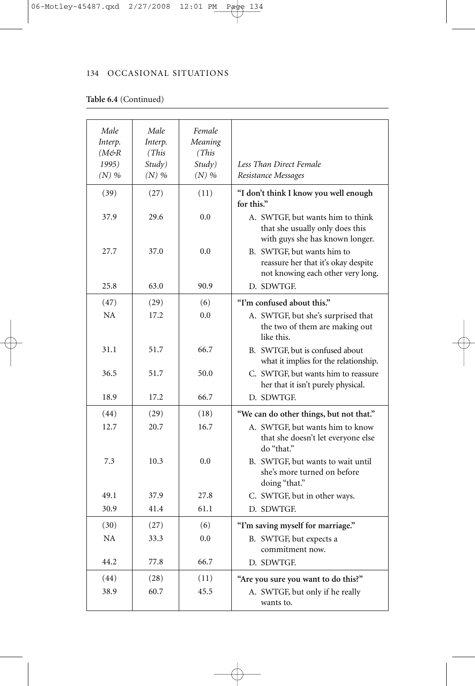### **Table 6.4** (Continued)

| Male                   | Male    | Female  |                                                                                                        |
|------------------------|---------|---------|--------------------------------------------------------------------------------------------------------|
| Interp.                | Interp. | Meaning |                                                                                                        |
| $(M \n\mathfrak{S} R)$ | (This)  | (This)  |                                                                                                        |
| 1995)                  | Study)  | Study)  | Less Than Direct Female                                                                                |
| $(N)$ %                | $(N)$ % | $(N)$ % | Resistance Messages                                                                                    |
|                        |         |         |                                                                                                        |
| (39)                   | (27)    | (11)    | "I don't think I know you well enough<br>for this."                                                    |
| 37.9                   | 29.6    | 0.0     | A. SWTGF, but wants him to think<br>that she usually only does this<br>with guys she has known longer. |
| 27.7                   | 37.0    | 0.0     | B. SWTGF, but wants him to<br>reassure her that it's okay despite<br>not knowing each other very long. |
| 25.8                   | 63.0    | 90.9    | D. SDWTGE                                                                                              |
| (47)                   | (29)    | (6)     | "I'm confused about this."                                                                             |
| NA                     | 17.2    | 0.0     | A. SWTGF, but she's surprised that<br>the two of them are making out<br>like this.                     |
| 31.1                   | 51.7    | 66.7    | B. SWTGF, but is confused about<br>what it implies for the relationship.                               |
| 36.5                   | 51.7    | 50.0    | C. SWTGF, but wants him to reassure<br>her that it isn't purely physical.                              |
| 18.9                   | 17.2    | 66.7    | D. SDWTGF.                                                                                             |
| (44)                   | (29)    | (18)    | "We can do other things, but not that."                                                                |
| 12.7                   | 20.7    | 16.7    | A. SWTGF, but wants him to know<br>that she doesn't let everyone else<br>do "that."                    |
| 7.3                    | 10.3    | 0.0     | B. SWTGF, but wants to wait until<br>she's more turned on before<br>doing "that."                      |
| 49.1                   | 37.9    | 27.8    | C. SWTGF, but in other ways.                                                                           |
| 30.9                   | 41.4    | 61.1    | D. SDWTGF.                                                                                             |
| (30)                   | (27)    | (6)     | "I'm saving myself for marriage."                                                                      |
| NA                     | 33.3    | 0.0     | B. SWTGF, but expects a                                                                                |
|                        |         |         | commitment now.                                                                                        |
| 44.2                   | 77.8    | 66.7    | D. SDWTGF.                                                                                             |
| (44)                   | (28)    | (11)    | "Are you sure you want to do this?"                                                                    |
| 38.9                   | 60.7    | 45.5    | A. SWTGF, but only if he really<br>wants to.                                                           |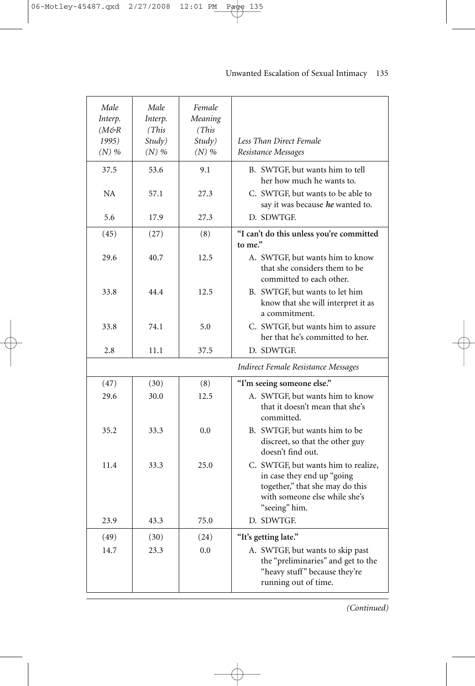| Male<br>Interp.                            | Male<br>Interp.            | Female<br>Meaning           |                                                                                                                                                        |
|--------------------------------------------|----------------------------|-----------------------------|--------------------------------------------------------------------------------------------------------------------------------------------------------|
| $(M \n\mathfrak{S} R)$<br>1995)<br>$(N)$ % | (This<br>Study)<br>$(N)$ % | (This)<br>Study)<br>$(N)$ % | Less Than Direct Female<br>Resistance Messages                                                                                                         |
| 37.5                                       | 53.6                       | 9.1                         | B. SWTGF, but wants him to tell<br>her how much he wants to.                                                                                           |
| NA                                         | 57.1                       | 27.3                        | C. SWTGF, but wants to be able to<br>say it was because he wanted to.                                                                                  |
| 5.6                                        | 17.9                       | 27.3                        | D. SDWTGF.                                                                                                                                             |
| (45)                                       | (27)                       | (8)                         | "I can't do this unless you're committed<br>to me."                                                                                                    |
| 29.6                                       | 40.7                       | 12.5                        | A. SWTGF, but wants him to know<br>that she considers them to be<br>committed to each other.                                                           |
| 33.8                                       | 44.4                       | 12.5                        | B. SWTGF, but wants to let him<br>know that she will interpret it as<br>a commitment.                                                                  |
| 33.8                                       | 74.1                       | 5.0                         | C. SWTGF, but wants him to assure<br>her that he's committed to her.                                                                                   |
| 2.8                                        | 11.1                       | 37.5                        | D. SDWTGF.                                                                                                                                             |
|                                            |                            |                             | Indirect Female Resistance Messages                                                                                                                    |
| (47)                                       | (30)                       | (8)                         | "I'm seeing someone else."                                                                                                                             |
| 29.6                                       | 30.0                       | 12.5                        | A. SWTGF, but wants him to know<br>that it doesn't mean that she's<br>committed.                                                                       |
| 35.2                                       | 33.3                       | 0.0                         | B. SWTGF, but wants him to be<br>discreet, so that the other guy<br>doesn't find out.                                                                  |
| 11.4                                       | 33.3                       | 25.0                        | C. SWTGF, but wants him to realize,<br>in case they end up "going<br>together," that she may do this<br>with someone else while she's<br>"seeing" him. |
| 23.9                                       | 43.3                       | 75.0                        | D. SDWTGE                                                                                                                                              |
| (49)                                       | (30)                       | (24)                        | "It's getting late."                                                                                                                                   |
| 14.7                                       | 23.3                       | 0.0                         | A. SWTGF, but wants to skip past<br>the "preliminaries" and get to the<br>"heavy stuff" because they're<br>running out of time.                        |

€

### Unwanted Escalation of Sexual Intimacy—135

*(Continued)*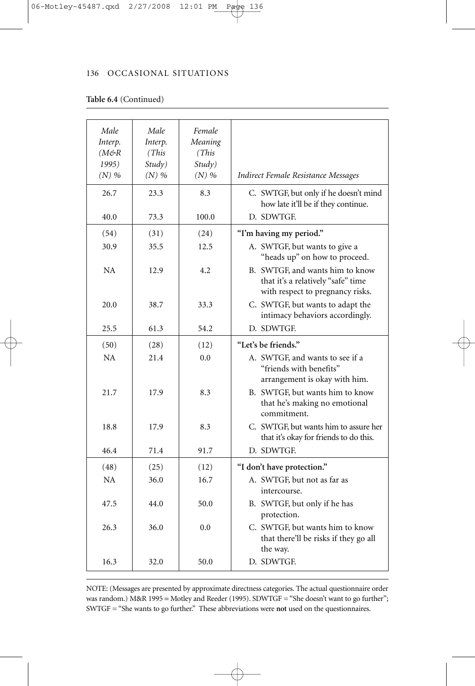### **Table 6.4** (Continued)

| Male    | Male    | Female  |                                                                                                           |
|---------|---------|---------|-----------------------------------------------------------------------------------------------------------|
| Interp. | Interp. | Meaning |                                                                                                           |
| (M&R    | (This)  | (This   |                                                                                                           |
| 1995)   | Study)  | Study)  |                                                                                                           |
| $(N)$ % | $(N)$ % | $(N)$ % | Indirect Female Resistance Messages                                                                       |
| 26.7    | 23.3    | 8.3     | C. SWTGF, but only if he doesn't mind<br>how late it'll be if they continue.                              |
| 40.0    | 73.3    | 100.0   | D. SDWTGE                                                                                                 |
| (54)    | (31)    | (24)    | "I'm having my period."                                                                                   |
| 30.9    | 35.5    | 12.5    | A. SWTGF, but wants to give a<br>"heads up" on how to proceed.                                            |
| NA      | 12.9    | 4.2     | B. SWTGF, and wants him to know<br>that it's a relatively "safe" time<br>with respect to pregnancy risks. |
| 20.0    | 38.7    | 33.3    | C. SWTGF, but wants to adapt the<br>intimacy behaviors accordingly.                                       |
| 25.5    | 61.3    | 54.2    | D. SDWTGE                                                                                                 |
| (50)    | (28)    | (12)    | "Let's be friends."                                                                                       |
| NA      | 21.4    | 0.0     | A. SWTGF, and wants to see if a<br>"friends with benefits"<br>arrangement is okay with him.               |
| 21.7    | 17.9    | 8.3     | B. SWTGF, but wants him to know<br>that he's making no emotional<br>commitment.                           |
| 18.8    | 17.9    | 8.3     | C. SWTGF, but wants him to assure her<br>that it's okay for friends to do this.                           |
| 46.4    | 71.4    | 91.7    | D. SDWTGE                                                                                                 |
| (48)    | (25)    | (12)    | "I don't have protection."                                                                                |
| NA      | 36.0    | 16.7    | A. SWTGF, but not as far as<br>intercourse.                                                               |
| 47.5    | 44.0    | 50.0    | B. SWTGF, but only if he has<br>protection.                                                               |
| 26.3    | 36.0    | 0.0     | C. SWTGF, but wants him to know<br>that there'll be risks if they go all<br>the way.                      |
| 16.3    | 32.0    | 50.0    | D. SDWTGE                                                                                                 |

NOTE: (Messages are presented by approximate directness categories. The actual questionnaire order was random.) M&R 1995 = Motley and Reeder (1995). SDWTGF = "She doesn't want to go further"; SWTGF = "She wants to go further." These abbreviations were **not** used on the questionnaires.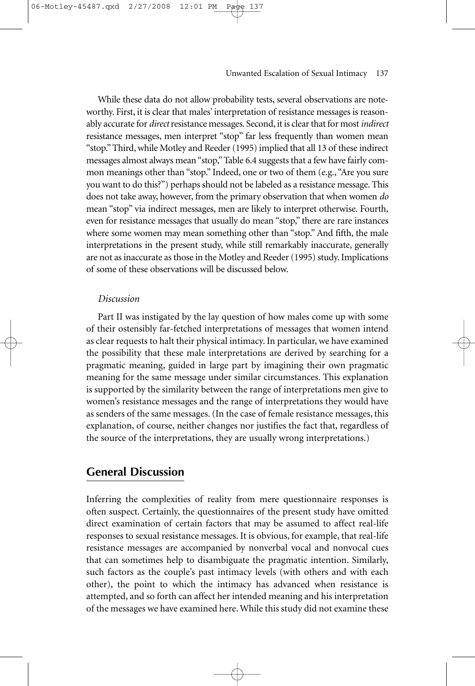While these data do not allow probability tests, several observations are noteworthy. First, it is clear that males' interpretation of resistance messages is reasonably accurate for *direct* resistance messages. Second, it is clear that for most *indirect* resistance messages, men interpret "stop" far less frequently than women mean "stop." Third, while Motley and Reeder (1995) implied that all 13 of these indirect messages almost always mean "stop," Table 6.4 suggests that a few have fairly common meanings other than "stop." Indeed, one or two of them (e.g., "Are you sure you want to do this?") perhaps should not be labeled as a resistance message. This does not take away, however, from the primary observation that when women *do* mean "stop" via indirect messages, men are likely to interpret otherwise. Fourth, even for resistance messages that usually do mean "stop," there are rare instances where some women may mean something other than "stop." And fifth, the male interpretations in the present study, while still remarkably inaccurate, generally are not as inaccurate as those in the Motley and Reeder (1995) study. Implications of some of these observations will be discussed below.

### *Discussion*

/27/2008

Part II was instigated by the lay question of how males come up with some of their ostensibly far-fetched interpretations of messages that women intend as clear requests to halt their physical intimacy. In particular, we have examined the possibility that these male interpretations are derived by searching for a pragmatic meaning, guided in large part by imagining their own pragmatic meaning for the same message under similar circumstances. This explanation is supported by the similarity between the range of interpretations men give to women's resistance messages and the range of interpretations they would have as senders of the same messages. (In the case of female resistance messages, this explanation, of course, neither changes nor justifies the fact that, regardless of the source of the interpretations, they are usually wrong interpretations.)

### **General Discussion**

Inferring the complexities of reality from mere questionnaire responses is often suspect. Certainly, the questionnaires of the present study have omitted direct examination of certain factors that may be assumed to affect real-life responses to sexual resistance messages. It is obvious, for example, that real-life resistance messages are accompanied by nonverbal vocal and nonvocal cues that can sometimes help to disambiguate the pragmatic intention. Similarly, such factors as the couple's past intimacy levels (with others and with each other), the point to which the intimacy has advanced when resistance is attempted, and so forth can affect her intended meaning and his interpretation of the messages we have examined here. While this study did not examine these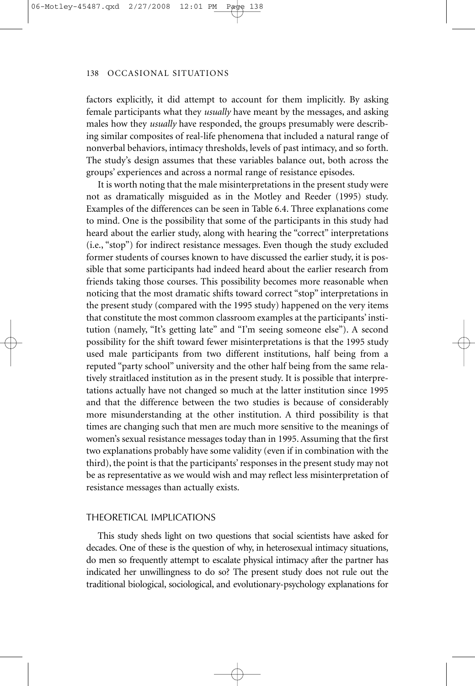factors explicitly, it did attempt to account for them implicitly. By asking female participants what they *usually* have meant by the messages, and asking males how they *usually* have responded, the groups presumably were describing similar composites of real-life phenomena that included a natural range of nonverbal behaviors, intimacy thresholds, levels of past intimacy, and so forth. The study's design assumes that these variables balance out, both across the groups' experiences and across a normal range of resistance episodes.

It is worth noting that the male misinterpretations in the present study were not as dramatically misguided as in the Motley and Reeder (1995) study. Examples of the differences can be seen in Table 6.4. Three explanations come to mind. One is the possibility that some of the participants in this study had heard about the earlier study, along with hearing the "correct" interpretations (i.e., "stop") for indirect resistance messages. Even though the study excluded former students of courses known to have discussed the earlier study, it is possible that some participants had indeed heard about the earlier research from friends taking those courses. This possibility becomes more reasonable when noticing that the most dramatic shifts toward correct "stop" interpretations in the present study (compared with the 1995 study) happened on the very items that constitute the most common classroom examples at the participants' institution (namely, "It's getting late" and "I'm seeing someone else"). A second possibility for the shift toward fewer misinterpretations is that the 1995 study used male participants from two different institutions, half being from a reputed "party school" university and the other half being from the same relatively straitlaced institution as in the present study. It is possible that interpretations actually have not changed so much at the latter institution since 1995 and that the difference between the two studies is because of considerably more misunderstanding at the other institution. A third possibility is that times are changing such that men are much more sensitive to the meanings of women's sexual resistance messages today than in 1995. Assuming that the first two explanations probably have some validity (even if in combination with the third), the point is that the participants' responses in the present study may not be as representative as we would wish and may reflect less misinterpretation of resistance messages than actually exists.

### THEORETICAL IMPLICATIONS

This study sheds light on two questions that social scientists have asked for decades. One of these is the question of why, in heterosexual intimacy situations, do men so frequently attempt to escalate physical intimacy after the partner has indicated her unwillingness to do so? The present study does not rule out the traditional biological, sociological, and evolutionary-psychology explanations for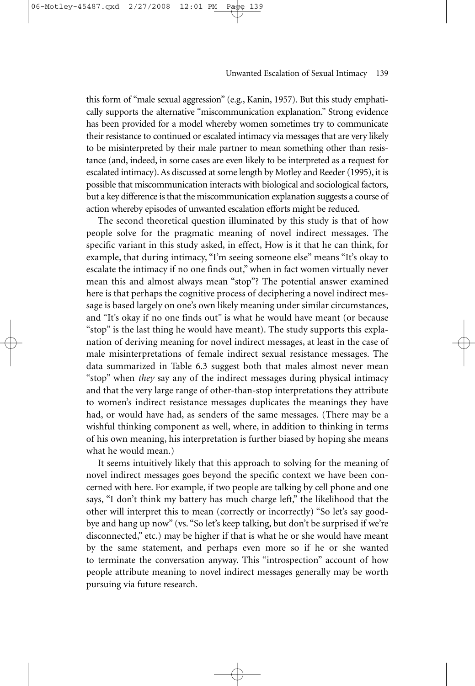this form of "male sexual aggression" (e.g., Kanin, 1957). But this study emphatically supports the alternative "miscommunication explanation." Strong evidence has been provided for a model whereby women sometimes try to communicate their resistance to continued or escalated intimacy via messages that are very likely to be misinterpreted by their male partner to mean something other than resistance (and, indeed, in some cases are even likely to be interpreted as a request for escalated intimacy). As discussed at some length by Motley and Reeder (1995), it is possible that miscommunication interacts with biological and sociological factors, but a key difference is that the miscommunication explanation suggests a course of action whereby episodes of unwanted escalation efforts might be reduced.

2/27/2008

The second theoretical question illuminated by this study is that of how people solve for the pragmatic meaning of novel indirect messages. The specific variant in this study asked, in effect, How is it that he can think, for example, that during intimacy, "I'm seeing someone else" means "It's okay to escalate the intimacy if no one finds out," when in fact women virtually never mean this and almost always mean "stop"? The potential answer examined here is that perhaps the cognitive process of deciphering a novel indirect message is based largely on one's own likely meaning under similar circumstances, and "It's okay if no one finds out" is what he would have meant (or because "stop" is the last thing he would have meant). The study supports this explanation of deriving meaning for novel indirect messages, at least in the case of male misinterpretations of female indirect sexual resistance messages. The data summarized in Table 6.3 suggest both that males almost never mean "stop" when *they* say any of the indirect messages during physical intimacy and that the very large range of other-than-stop interpretations they attribute to women's indirect resistance messages duplicates the meanings they have had, or would have had, as senders of the same messages. (There may be a wishful thinking component as well, where, in addition to thinking in terms of his own meaning, his interpretation is further biased by hoping she means what he would mean.)

It seems intuitively likely that this approach to solving for the meaning of novel indirect messages goes beyond the specific context we have been concerned with here. For example, if two people are talking by cell phone and one says, "I don't think my battery has much charge left," the likelihood that the other will interpret this to mean (correctly or incorrectly) "So let's say goodbye and hang up now" (vs. "So let's keep talking, but don't be surprised if we're disconnected," etc.) may be higher if that is what he or she would have meant by the same statement, and perhaps even more so if he or she wanted to terminate the conversation anyway. This "introspection" account of how people attribute meaning to novel indirect messages generally may be worth pursuing via future research.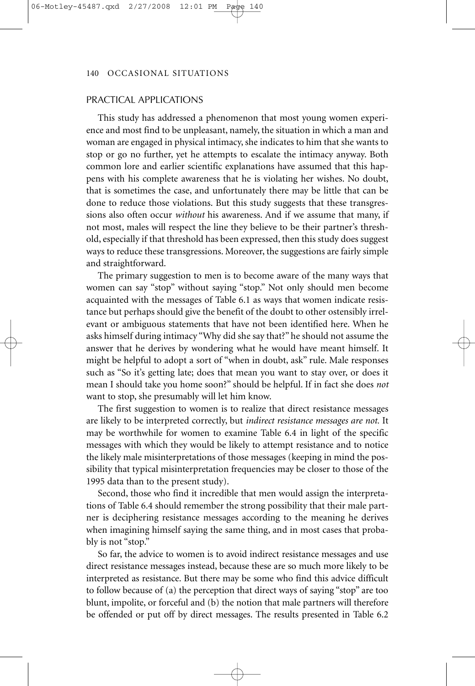### PRACTICAL APPLICATIONS

This study has addressed a phenomenon that most young women experience and most find to be unpleasant, namely, the situation in which a man and woman are engaged in physical intimacy, she indicates to him that she wants to stop or go no further, yet he attempts to escalate the intimacy anyway. Both common lore and earlier scientific explanations have assumed that this happens with his complete awareness that he is violating her wishes. No doubt, that is sometimes the case, and unfortunately there may be little that can be done to reduce those violations. But this study suggests that these transgressions also often occur *without* his awareness. And if we assume that many, if not most, males will respect the line they believe to be their partner's threshold, especially if that threshold has been expressed, then this study does suggest ways to reduce these transgressions. Moreover, the suggestions are fairly simple and straightforward.

The primary suggestion to men is to become aware of the many ways that women can say "stop" without saying "stop." Not only should men become acquainted with the messages of Table 6.1 as ways that women indicate resistance but perhaps should give the benefit of the doubt to other ostensibly irrelevant or ambiguous statements that have not been identified here. When he asks himself during intimacy "Why did she say that?" he should not assume the answer that he derives by wondering what he would have meant himself. It might be helpful to adopt a sort of "when in doubt, ask" rule. Male responses such as "So it's getting late; does that mean you want to stay over, or does it mean I should take you home soon?" should be helpful. If in fact she does *not* want to stop, she presumably will let him know.

The first suggestion to women is to realize that direct resistance messages are likely to be interpreted correctly, but *indirect resistance messages are not.* It may be worthwhile for women to examine Table 6.4 in light of the specific messages with which they would be likely to attempt resistance and to notice the likely male misinterpretations of those messages (keeping in mind the possibility that typical misinterpretation frequencies may be closer to those of the 1995 data than to the present study).

Second, those who find it incredible that men would assign the interpretations of Table 6.4 should remember the strong possibility that their male partner is deciphering resistance messages according to the meaning he derives when imagining himself saying the same thing, and in most cases that probably is not "stop."

So far, the advice to women is to avoid indirect resistance messages and use direct resistance messages instead, because these are so much more likely to be interpreted as resistance. But there may be some who find this advice difficult to follow because of (a) the perception that direct ways of saying "stop" are too blunt, impolite, or forceful and (b) the notion that male partners will therefore be offended or put off by direct messages. The results presented in Table 6.2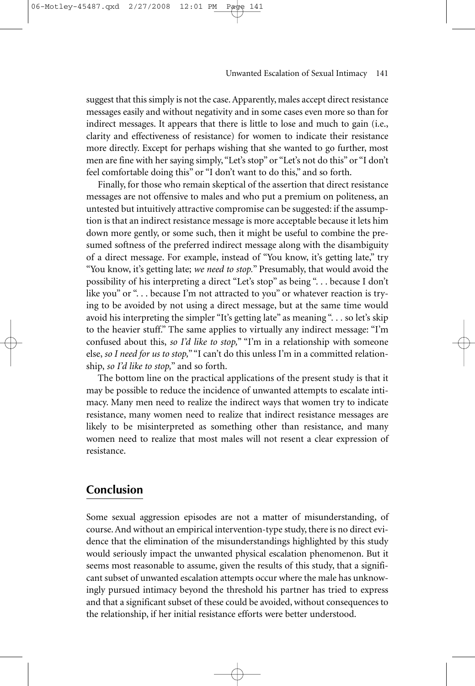suggest that this simply is not the case. Apparently, males accept direct resistance messages easily and without negativity and in some cases even more so than for indirect messages. It appears that there is little to lose and much to gain (i.e., clarity and effectiveness of resistance) for women to indicate their resistance

more directly. Except for perhaps wishing that she wanted to go further, most men are fine with her saying simply, "Let's stop" or "Let's not do this" or "I don't feel comfortable doing this" or "I don't want to do this," and so forth.

Finally, for those who remain skeptical of the assertion that direct resistance messages are not offensive to males and who put a premium on politeness, an untested but intuitively attractive compromise can be suggested: if the assumption is that an indirect resistance message is more acceptable because it lets him down more gently, or some such, then it might be useful to combine the presumed softness of the preferred indirect message along with the disambiguity of a direct message. For example, instead of "You know, it's getting late," try "You know, it's getting late; *we need to stop.*" Presumably, that would avoid the possibility of his interpreting a direct "Let's stop" as being ". . . because I don't like you" or "... because I'm not attracted to you" or whatever reaction is trying to be avoided by not using a direct message, but at the same time would avoid his interpreting the simpler "It's getting late" as meaning ". . . so let's skip to the heavier stuff." The same applies to virtually any indirect message: "I'm confused about this, *so I'd like to stop,*" "I'm in a relationship with someone else, *so I need for us to stop,*""I can't do this unless I'm in a committed relationship, *so I'd like to stop,*" and so forth.

The bottom line on the practical applications of the present study is that it may be possible to reduce the incidence of unwanted attempts to escalate intimacy. Many men need to realize the indirect ways that women try to indicate resistance, many women need to realize that indirect resistance messages are likely to be misinterpreted as something other than resistance, and many women need to realize that most males will not resent a clear expression of resistance.

### **Conclusion**

06-Motley-45487.qxd 2/27/2008

Some sexual aggression episodes are not a matter of misunderstanding, of course. And without an empirical intervention-type study, there is no direct evidence that the elimination of the misunderstandings highlighted by this study would seriously impact the unwanted physical escalation phenomenon. But it seems most reasonable to assume, given the results of this study, that a significant subset of unwanted escalation attempts occur where the male has unknowingly pursued intimacy beyond the threshold his partner has tried to express and that a significant subset of these could be avoided, without consequences to the relationship, if her initial resistance efforts were better understood.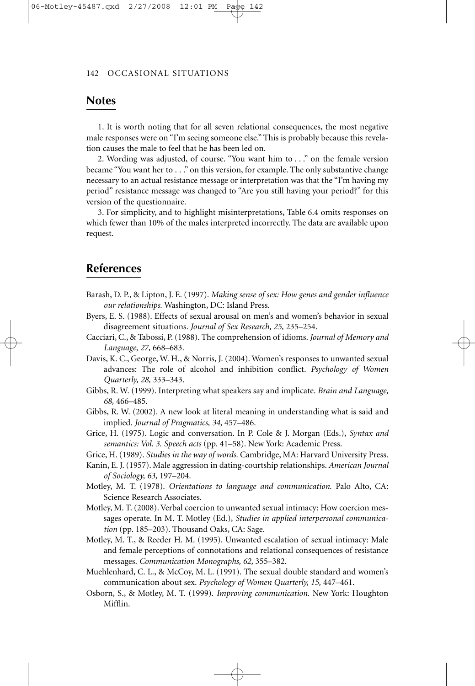### **Notes**

1. It is worth noting that for all seven relational consequences, the most negative male responses were on "I'm seeing someone else." This is probably because this revelation causes the male to feel that he has been led on.

2. Wording was adjusted, of course. "You want him to . . ." on the female version became "You want her to . . ." on this version, for example. The only substantive change necessary to an actual resistance message or interpretation was that the "I'm having my period" resistance message was changed to "Are you still having your period?" for this version of the questionnaire.

3. For simplicity, and to highlight misinterpretations, Table 6.4 omits responses on which fewer than 10% of the males interpreted incorrectly. The data are available upon request.

### **References**

- Barash, D. P., & Lipton, J. E. (1997). *Making sense of sex: How genes and gender influence our relationships.* Washington, DC: Island Press.
- Byers, E. S. (1988). Effects of sexual arousal on men's and women's behavior in sexual disagreement situations. *Journal of Sex Research, 25,* 235–254.
- Cacciari, C., & Tabossi, P. (1988). The comprehension of idioms. *Journal of Memory and Language, 27,* 668–683.
- Davis, K. C., George, W. H., & Norris, J. (2004). Women's responses to unwanted sexual advances: The role of alcohol and inhibition conflict. *Psychology of Women Quarterly, 28,* 333–343.
- Gibbs, R. W. (1999). Interpreting what speakers say and implicate. *Brain and Language, 68,* 466–485.
- Gibbs, R. W. (2002). A new look at literal meaning in understanding what is said and implied. *Journal of Pragmatics, 34,* 457–486.
- Grice, H. (1975). Logic and conversation. In P. Cole & J. Morgan (Eds.), *Syntax and semantics: Vol. 3. Speech acts* (pp. 41–58). New York: Academic Press.
- Grice, H. (1989). *Studies in the way of words.* Cambridge, MA: Harvard University Press.
- Kanin, E. J. (1957). Male aggression in dating-courtship relationships. *American Journal of Sociology, 63,* 197–204.
- Motley, M. T. (1978). *Orientations to language and communication.* Palo Alto, CA: Science Research Associates.
- Motley, M. T. (2008). Verbal coercion to unwanted sexual intimacy: How coercion messages operate. In M. T. Motley (Ed.), *Studies in applied interpersonal communication* (pp. 185–203). Thousand Oaks, CA: Sage.
- Motley, M. T., & Reeder H. M. (1995). Unwanted escalation of sexual intimacy: Male and female perceptions of connotations and relational consequences of resistance messages. *Communication Monographs, 62,* 355–382.
- Muehlenhard, C. L., & McCoy, M. L. (1991). The sexual double standard and women's communication about sex. *Psychology of Women Quarterly, 15,* 447–461.
- Osborn, S., & Motley, M. T. (1999). *Improving communication.* New York: Houghton Mifflin.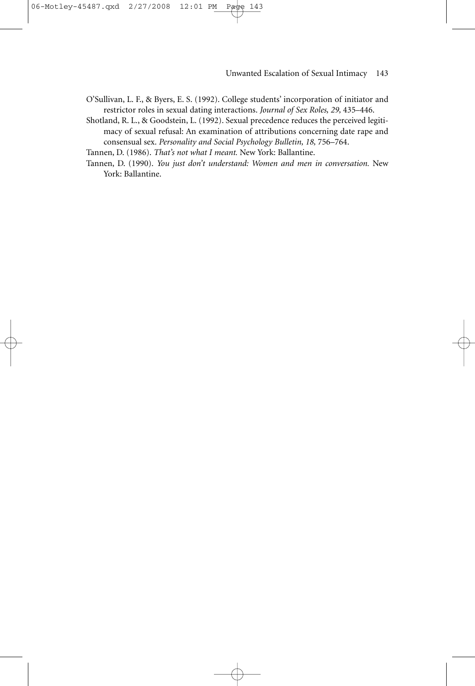- O'Sullivan, L. F., & Byers, E. S. (1992). College students' incorporation of initiator and restrictor roles in sexual dating interactions. *Journal of Sex Roles, 29,* 435–446.
- Shotland, R. L., & Goodstein, L. (1992). Sexual precedence reduces the perceived legitimacy of sexual refusal: An examination of attributions concerning date rape and consensual sex. *Personality and Social Psychology Bulletin, 18,* 756–764.

Tannen, D. (1986). *That's not what I meant.* New York: Ballantine.

Tannen, D. (1990). *You just don't understand: Women and men in conversation.* New York: Ballantine.